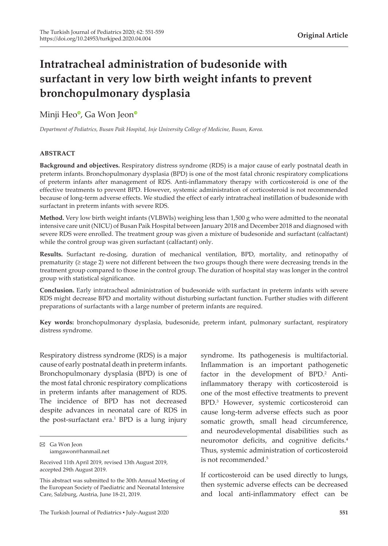# **Intratracheal administration of budesonide with surfactant in very low birth weight infants to prevent bronchopulmonary dysplasia**

# Minji He[o](https://orcid.org/0000-0001-7680-1427)<sup>®</sup>, Ga Wo[n](https://orcid.org/0000-0002-8206-9727) Jeon<sup>®</sup>

*Department of Pediatrics, Busan Paik Hospital, Inje University College of Medicine, Busan, Korea.*

### **ABSTRACT**

**Background and objectives.** Respiratory distress syndrome (RDS) is a major cause of early postnatal death in preterm infants. Bronchopulmonary dysplasia (BPD) is one of the most fatal chronic respiratory complications of preterm infants after management of RDS. Anti-inflammatory therapy with corticosteroid is one of the effective treatments to prevent BPD. However, systemic administration of corticosteroid is not recommended because of long-term adverse effects. We studied the effect of early intratracheal instillation of budesonide with surfactant in preterm infants with severe RDS.

**Method.** Very low birth weight infants (VLBWIs) weighing less than 1,500 g who were admitted to the neonatal intensive care unit (NICU) of Busan Paik Hospital between January 2018 and December 2018 and diagnosed with severe RDS were enrolled. The treatment group was given a mixture of budesonide and surfactant (calfactant) while the control group was given surfactant (calfactant) only.

**Results.** Surfactant re-dosing, duration of mechanical ventilation, BPD, mortality, and retinopathy of prematurity (≥ stage 2) were not different between the two groups though there were decreasing trends in the treatment group compared to those in the control group. The duration of hospital stay was longer in the control group with statistical significance.

**Conclusion.** Early intratracheal administration of budesonide with surfactant in preterm infants with severe RDS might decrease BPD and mortality without disturbing surfactant function. Further studies with different preparations of surfactants with a large number of preterm infants are required.

**Key words:** bronchopulmonary dysplasia, budesonide, preterm infant, pulmonary surfactant, respiratory distress syndrome.

Respiratory distress syndrome (RDS) is a major cause of early postnatal death in preterm infants. Bronchopulmonary dysplasia (BPD) is one of the most fatal chronic respiratory complications in preterm infants after management of RDS. The incidence of BPD has not decreased despite advances in neonatal care of RDS in the post-surfactant era.1 BPD is a lung injury

syndrome. Its pathogenesis is multifactorial. Inflammation is an important pathogenetic factor in the development of BPD.<sup>2</sup> Antiinflammatory therapy with corticosteroid is one of the most effective treatments to prevent BPD.3 However, systemic corticosteroid can cause long-term adverse effects such as poor somatic growth, small head circumference, and neurodevelopmental disabilities such as neuromotor deficits, and cognitive deficits.4 Thus, systemic administration of corticosteroid is not recommended.<sup>5</sup>

If corticosteroid can be used directly to lungs, then systemic adverse effects can be decreased and local anti-inflammatory effect can be

Ga Won Jeon iamgawon@hanmail.net

Received 11th April 2019, revised 13th August 2019, accepted 29th August 2019.

This abstract was submitted to the 30th Annual Meeting of the European Society of Paediatric and Neonatal Intensive Care, Salzburg, Austria, June 18-21, 2019.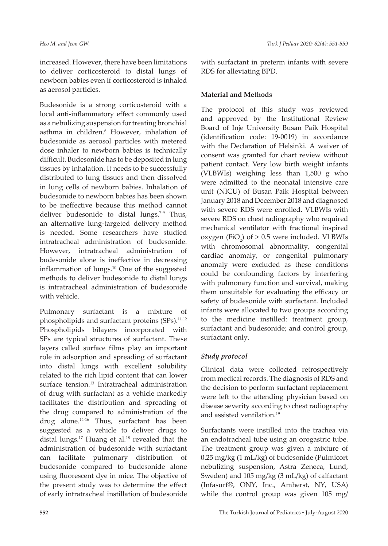increased. However, there have been limitations to deliver corticosteroid to distal lungs of newborn babies even if corticosteroid is inhaled as aerosol particles.

Budesonide is a strong corticosteroid with a local anti-inflammatory effect commonly used as a nebulizing suspension for treating bronchial asthma in children.<sup>6</sup> However, inhalation of budesonide as aerosol particles with metered dose inhaler to newborn babies is technically difficult. Budesonide has to be deposited in lung tissues by inhalation. It needs to be successfully distributed to lung tissues and then dissolved in lung cells of newborn babies. Inhalation of budesonide to newborn babies has been shown to be ineffective because this method cannot deliver budesonide to distal lungs.<sup>7-9</sup> Thus, an alternative lung-targeted delivery method is needed. Some researchers have studied intratracheal administration of budesonide. However, intratracheal administration of budesonide alone is ineffective in decreasing inflammation of lungs.10 One of the suggested methods to deliver budesonide to distal lungs is intratracheal administration of budesonide with vehicle.

Pulmonary surfactant is a mixture of phospholipids and surfactant proteins (SPs).<sup>11,12</sup> Phospholipids bilayers incorporated with SPs are typical structures of surfactant. These layers called surface films play an important role in adsorption and spreading of surfactant into distal lungs with excellent solubility related to the rich lipid content that can lower surface tension.<sup>13</sup> Intratracheal administration of drug with surfactant as a vehicle markedly facilitates the distribution and spreading of the drug compared to administration of the drug alone.<sup>14-16</sup> Thus, surfactant has been suggested as a vehicle to deliver drugs to distal lungs.<sup>17</sup> Huang et al.<sup>18</sup> revealed that the administration of budesonide with surfactant can facilitate pulmonary distribution of budesonide compared to budesonide alone using fluorescent dye in mice. The objective of the present study was to determine the effect of early intratracheal instillation of budesonide

with surfactant in preterm infants with severe RDS for alleviating BPD.

#### **Material and Methods**

The protocol of this study was reviewed and approved by the Institutional Review Board of Inje University Busan Paik Hospital (identification code: 19-0019) in accordance with the Declaration of Helsinki. A waiver of consent was granted for chart review without patient contact. Very low birth weight infants (VLBWIs) weighing less than 1,500 g who were admitted to the neonatal intensive care unit (NICU) of Busan Paik Hospital between January 2018 and December 2018 and diagnosed with severe RDS were enrolled. VLBWIs with severe RDS on chest radiography who required mechanical ventilator with fractional inspired oxygen (FiO<sub>2</sub>) of  $> 0.5$  were included. VLBWIs with chromosomal abnormality, congenital cardiac anomaly, or congenital pulmonary anomaly were excluded as these conditions could be confounding factors by interfering with pulmonary function and survival, making them unsuitable for evaluating the efficacy or safety of budesonide with surfactant. Included infants were allocated to two groups according to the medicine instilled: treatment group, surfactant and budesonide; and control group, surfactant only.

## *Study protocol*

Clinical data were collected retrospectively from medical records. The diagnosis of RDS and the decision to perform surfactant replacement were left to the attending physician based on disease severity according to chest radiography and assisted ventilation.<sup>19</sup>

Surfactants were instilled into the trachea via an endotracheal tube using an orogastric tube. The treatment group was given a mixture of 0.25 mg/kg (1 mL/kg) of budesonide (Pulmicort nebulizing suspension, Astra Zeneca, Lund, Sweden) and 105 mg/kg (3 mL/kg) of calfactant (Infasurf®, ONY, Inc., Amherst, NY, USA) while the control group was given 105 mg/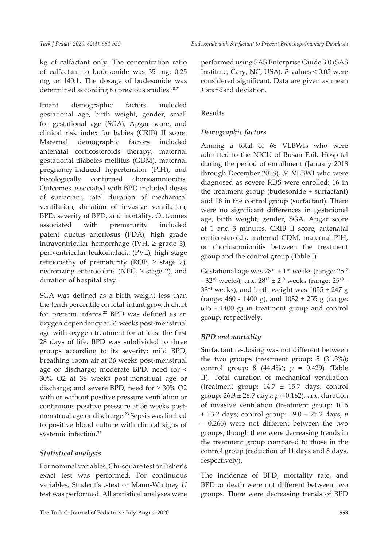kg of calfactant only. The concentration ratio of calfactant to budesonide was 35 mg: 0.25 mg or 140:1. The dosage of budesonide was determined according to previous studies.<sup>20,21</sup>

Infant demographic factors included gestational age, birth weight, gender, small for gestational age (SGA), Apgar score, and clinical risk index for babies (CRIB) II score. Maternal demographic factors included antenatal corticosteroids therapy, maternal gestational diabetes mellitus (GDM), maternal pregnancy-induced hypertension (PIH), and histologically confirmed chorioamnionitis. Outcomes associated with BPD included doses of surfactant, total duration of mechanical ventilation, duration of invasive ventilation, BPD, severity of BPD, and mortality. Outcomes associated with prematurity included patent ductus arteriosus (PDA), high grade intraventricular hemorrhage (IVH,  $\geq$  grade 3), periventricular leukomalacia (PVL), high stage retinopathy of prematurity (ROP,  $\geq$  stage 2), necrotizing enterocolitis (NEC,  $\geq$  stage 2), and duration of hospital stay.

SGA was defined as a birth weight less than the tenth percentile on fetal-infant growth chart for preterm infants.<sup>22</sup> BPD was defined as an oxygen dependency at 36 weeks post-menstrual age with oxygen treatment for at least the first 28 days of life. BPD was subdivided to three groups according to its severity: mild BPD, breathing room air at 36 weeks post-menstrual age or discharge; moderate BPD, need for < 30% O2 at 36 weeks post-menstrual age or discharge; and severe BPD, need for  $\geq 30\%$  O2 with or without positive pressure ventilation or continuous positive pressure at 36 weeks postmenstrual age or discharge.<sup>23</sup> Sepsis was limited to positive blood culture with clinical signs of systemic infection.<sup>24</sup>

# *Statistical analysis*

For nominal variables, Chi-square test or Fisher's exact test was performed. For continuous variables, Student's *t*-test or Mann-Whitney *U* test was performed. All statistical analyses were

The Turkish Journal of Pediatrics ▪ July-August 2020 **553**

performed using SAS Enterprise Guide 3.0 (SAS Institute, Cary, NC, USA). *P*-values < 0.05 were considered significant. Data are given as mean ± standard deviation.

# **Results**

# *Demographic factors*

Among a total of 68 VLBWIs who were admitted to the NICU of Busan Paik Hospital during the period of enrollment (January 2018 through December 2018), 34 VLBWI who were diagnosed as severe RDS were enrolled: 16 in the treatment group (budesonide + surfactant) and 18 in the control group (surfactant). There were no significant differences in gestational age, birth weight, gender, SGA, Apgar score at 1 and 5 minutes, CRIB II score, antenatal corticosteroids, maternal GDM, maternal PIH, or chorioamnionitis between the treatment group and the control group (Table I).

Gestational age was  $28^{+4} \pm 1^{+6}$  weeks (range:  $25^{+2}$ ) - 32<sup>+0</sup> weeks), and  $28^{+2} \pm 2^{+0}$  weeks (range:  $25^{+0}$  - $33^{+4}$  weeks), and birth weight was  $1055 \pm 247$  g (range:  $460 - 1400$  g), and  $1032 \pm 255$  g (range: 615 - 1400 g) in treatment group and control group, respectively.

# *BPD and mortality*

Surfactant re-dosing was not different between the two groups (treatment group: 5 (31.3%); control group: 8 (44.4%); *p* = 0.429) (Table II). Total duration of mechanical ventilation (treatment group: 14.7 ± 15.7 days; control group:  $26.3 \pm 26.7$  days;  $p = 0.162$ ), and duration of invasive ventilation (treatment group: 10.6 ± 13.2 days; control group: 19.0 ± 25.2 days; *p* = 0.266) were not different between the two groups, though there were decreasing trends in the treatment group compared to those in the control group (reduction of 11 days and 8 days, respectively).

The incidence of BPD, mortality rate, and BPD or death were not different between two groups. There were decreasing trends of BPD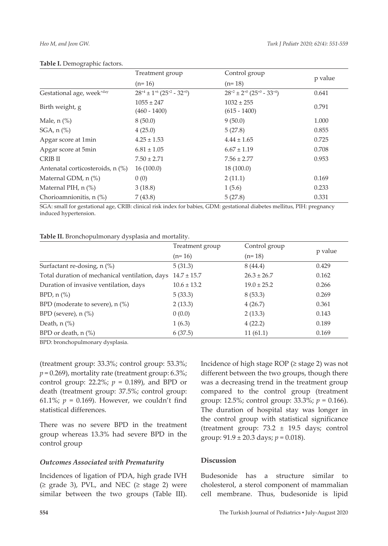|                                        | Treatment group                          | Control group                            |         |
|----------------------------------------|------------------------------------------|------------------------------------------|---------|
|                                        | $(n=16)$                                 | $(n=18)$                                 | p value |
| Gestational age, week <sup>+day</sup>  | $28^{+4} \pm 1^{+6} (25^{+2} - 32^{+0})$ | $28^{+2} \pm 2^{+0} (25^{+0} - 33^{+4})$ | 0.641   |
| Birth weight, g                        | $1055 \pm 247$<br>$(460 - 1400)$         | $1032 \pm 255$<br>$(615 - 1400)$         | 0.791   |
| Male, $n$ $\left(\frac{\%}{\%}\right)$ | 8(50.0)                                  | 9(50.0)                                  | 1.000   |
| SGA, $n$ $\left(\% \right)$            | 4(25.0)                                  | 5(27.8)                                  | 0.855   |
| Apgar score at 1min                    | $4.25 \pm 1.53$                          | $4.44 \pm 1.65$                          | 0.725   |
| Apgar score at 5min                    | $6.81 \pm 1.05$                          | $6.67 \pm 1.19$                          | 0.708   |
| CRIB II                                | $7.50 \pm 2.71$                          | $7.56 \pm 2.77$                          | 0.953   |
| Antenatal corticosteroids, n (%)       | 16(100.0)                                | 18(100.0)                                |         |
| Maternal GDM, n (%)                    | 0(0)                                     | 2(11.1)                                  | 0.169   |
| Maternal PIH, $n$ $%$ )                | 3(18.8)                                  | 1(5.6)                                   | 0.233   |
| Chorioamnionitis, $n$ $\binom{9}{0}$   | 7(43.8)                                  | 5(27.8)                                  | 0.331   |

#### **Table I.** Demographic factors.

SGA: small for gestational age, CRIB: clinical risk index for babies, GDM: gestational diabetes mellitus, PIH: pregnancy induced hypertension.

| Table II. Bronchopulmonary dysplasia and mortality. |  |
|-----------------------------------------------------|--|
|-----------------------------------------------------|--|

|                                                                | Treatment group | Control group   |         |  |
|----------------------------------------------------------------|-----------------|-----------------|---------|--|
|                                                                | $(n=16)$        | $(n=18)$        | p value |  |
| Surfactant re-dosing, $n$ (%)                                  | 5(31.3)         | 8(44.4)         | 0.429   |  |
| Total duration of mechanical ventilation, days $14.7 \pm 15.7$ |                 | $26.3 \pm 26.7$ | 0.162   |  |
| Duration of invasive ventilation, days                         | $10.6 \pm 13.2$ | $19.0 \pm 25.2$ | 0.266   |  |
| $BPD, n$ (%)                                                   | 5(33.3)         | 8(53.3)         | 0.269   |  |
| BPD (moderate to severe), $n$ (%)                              | 2(13.3)         | 4(26.7)         | 0.361   |  |
| BPD (severe), $n$ (%)                                          | 0(0.0)          | 2(13.3)         | 0.143   |  |
| Death, $n$ (%)                                                 | 1(6.3)          | 4(22.2)         | 0.189   |  |
| BPD or death, n (%)                                            | 6(37.5)         | 11(61.1)        | 0.169   |  |

BPD: bronchopulmonary dysplasia.

(treatment group: 33.3%; control group: 53.3%;  $p = 0.269$ ), mortality rate (treatment group: 6.3%; control group:  $22.2\%$ ;  $p = 0.189$ ), and BPD or death (treatment group: 37.5%; control group: 61.1%;  $p = 0.169$ ). However, we couldn't find statistical differences.

There was no severe BPD in the treatment group whereas 13.3% had severe BPD in the control group

#### *Outcomes Associated with Prematurity*

Incidences of ligation of PDA, high grade IVH  $(\geq$  grade 3), PVL, and NEC  $(\geq$  stage 2) were similar between the two groups (Table III). Incidence of high stage ROP  $(≥$  stage 2) was not different between the two groups, though there was a decreasing trend in the treatment group compared to the control group (treatment group: 12.5%; control group: 33.3%; *p* = 0.166). The duration of hospital stay was longer in the control group with statistical significance (treatment group: 73.2 ± 19.5 days; control group: 91.9 ± 20.3 days; *p* = 0.018).

### **Discussion**

Budesonide has a structure similar to cholesterol, a sterol component of mammalian cell membrane. Thus, budesonide is lipid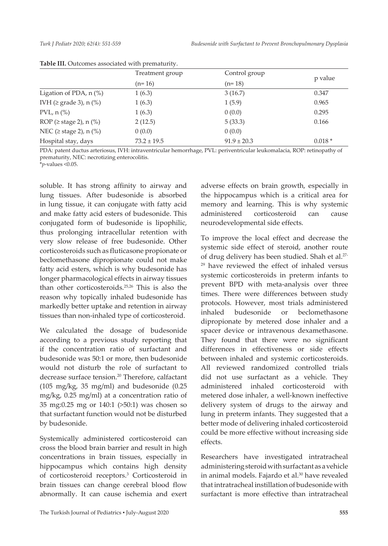|                                       | Treatment group | Control group   |          |
|---------------------------------------|-----------------|-----------------|----------|
|                                       | $(n=16)$        | $(n=18)$        | p value  |
| Ligation of PDA, $n$ (%)              | 1(6.3)          | 3(16.7)         | 0.347    |
| IVH ( $\geq$ grade 3), n (%)          | 1(6.3)          | 1(5.9)          | 0.965    |
| PVL, $n$ $\left(\frac{\%}{\%}\right)$ | 1(6.3)          | 0(0.0)          | 0.295    |
| ROP ( $\geq$ stage 2), n (%)          | 2(12.5)         | 5(33.3)         | 0.166    |
| NEC ( $\geq$ stage 2), n (%)          | 0(0.0)          | 0(0.0)          |          |
| Hospital stay, days                   | $73.2 \pm 19.5$ | $91.9 \pm 20.3$ | $0.018*$ |

**Table III.** Outcomes associated with prematurity.

PDA: patent ductus arteriosus, IVH: intraventricular hemorrhage, PVL: periventricular leukomalacia, ROP: retinopathy of prematurity, NEC: necrotizing enterocolitis.

\**p*-values <0.05.

soluble. It has strong affinity to airway and lung tissues. After budesonide is absorbed in lung tissue, it can conjugate with fatty acid and make fatty acid esters of budesonide. This conjugated form of budesonide is lipophilic, thus prolonging intracellular retention with very slow release of free budesonide. Other corticosteroids such as fluticasone propionate or beclomethasone dipropionate could not make fatty acid esters, which is why budesonide has longer pharmacological effects in airway tissues than other corticosteroids.25,26 This is also the reason why topically inhaled budesonide has markedly better uptake and retention in airway tissues than non-inhaled type of corticosteroid.

We calculated the dosage of budesonide according to a previous study reporting that if the concentration ratio of surfactant and budesonide was 50:1 or more, then budesonide would not disturb the role of surfactant to decrease surface tension.<sup>20</sup> Therefore, calfactant (105 mg/kg, 35 mg/ml) and budesonide (0.25 mg/kg, 0.25 mg/ml) at a concentration ratio of 35 mg:0.25 mg or 140:1 (>50:1) was chosen so that surfactant function would not be disturbed by budesonide.

Systemically administered corticosteroid can cross the blood brain barrier and result in high concentrations in brain tissues, especially in hippocampus which contains high density of corticosteroid receptors.3 Corticosteroid in brain tissues can change cerebral blood flow abnormally. It can cause ischemia and exert

adverse effects on brain growth, especially in the hippocampus which is a critical area for memory and learning. This is why systemic administered corticosteroid can cause neurodevelopmental side effects.

To improve the local effect and decrease the systemic side effect of steroid, another route of drug delivery has been studied. Shah et al.27- <sup>29</sup> have reviewed the effect of inhaled versus systemic corticosteroids in preterm infants to prevent BPD with meta-analysis over three times. There were differences between study protocols. However, most trials administered inhaled budesonide or beclomethasone dipropionate by metered dose inhaler and a spacer device or intravenous dexamethasone. They found that there were no significant differences in effectiveness or side effects between inhaled and systemic corticosteroids. All reviewed randomized controlled trials did not use surfactant as a vehicle. They administered inhaled corticosteroid with metered dose inhaler, a well-known ineffective delivery system of drugs to the airway and lung in preterm infants. They suggested that a better mode of delivering inhaled corticosteroid could be more effective without increasing side effects.

Researchers have investigated intratracheal administering steroid with surfactant as a vehicle in animal models. Fajardo et al.<sup>30</sup> have revealed that intratracheal instillation of budesonide with surfactant is more effective than intratracheal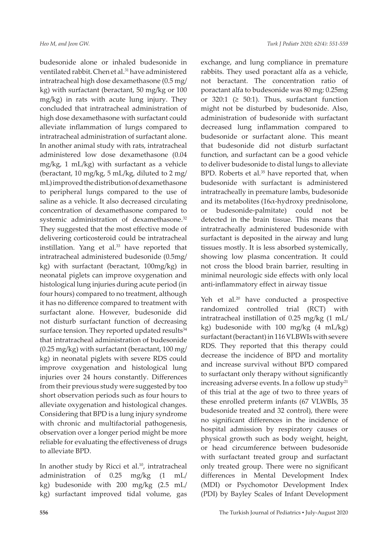budesonide alone or inhaled budesonide in ventilated rabbit. Chen et al.<sup>31</sup> have administered intratracheal high dose dexamethasone (0.5 mg/ kg) with surfactant (beractant, 50 mg/kg or 100 mg/kg) in rats with acute lung injury. They concluded that intratracheal administration of high dose dexamethasone with surfactant could alleviate inflammation of lungs compared to intratracheal administration of surfactant alone. In another animal study with rats, intratracheal administered low dose dexamethasone (0.04 mg/kg, 1 mL/kg) with surfactant as a vehicle (beractant, 10 mg/kg, 5 mL/kg, diluted to 2 mg/ mL) improved the distribution of dexamethasone to peripheral lungs compared to the use of saline as a vehicle. It also decreased circulating concentration of dexamethasone compared to systemic administration of dexamethasone.<sup>32</sup> They suggested that the most effective mode of delivering corticosteroid could be intratracheal instillation. Yang et al.<sup>33</sup> have reported that intratracheal administered budesonide (0.5mg/ kg) with surfactant (beractant, 100mg/kg) in neonatal piglets can improve oxygenation and histological lung injuries during acute period (in four hours) compared to no treatment, although it has no difference compared to treatment with surfactant alone. However, budesonide did not disturb surfactant function of decreasing surface tension. They reported updated results<sup>34</sup> that intratracheal administration of budesonide (0.25 mg/kg) with surfactant (beractant, 100 mg/ kg) in neonatal piglets with severe RDS could improve oxygenation and histological lung injuries over 24 hours constantly. Differences from their previous study were suggested by too short observation periods such as four hours to alleviate oxygenation and histological changes. Considering that BPD is a lung injury syndrome with chronic and multifactorial pathogenesis, observation over a longer period might be more reliable for evaluating the effectiveness of drugs to alleviate BPD.

In another study by Ricci et al.<sup>10</sup>, intratracheal administration of 0.25 mg/kg (1 mL/ kg) budesonide with 200 mg/kg (2.5 mL/ kg) surfactant improved tidal volume, gas

exchange, and lung compliance in premature rabbits. They used poractant alfa as a vehicle, not beractant. The concentration ratio of poractant alfa to budesonide was 80 mg: 0.25mg or 320:1 ( $\geq$  50:1). Thus, surfactant function might not be disturbed by budesonide. Also, administration of budesonide with surfactant decreased lung inflammation compared to budesonide or surfactant alone. This meant that budesonide did not disturb surfactant function, and surfactant can be a good vehicle to deliver budesonide to distal lungs to alleviate BPD. Roberts et al.<sup>35</sup> have reported that, when budesonide with surfactant is administered intratracheally in premature lambs, budesonide and its metabolites (16α-hydroxy prednisolone, or budesonide-palmitate) could not be detected in the brain tissue. This means that intratracheally administered budesonide with surfactant is deposited in the airway and lung tissues mostly. It is less absorbed systemically, showing low plasma concentration. It could not cross the blood brain barrier, resulting in minimal neurologic side effects with only local anti-inflammatory effect in airway tissue

Yeh et al.<sup>20</sup> have conducted a prospective randomized controlled trial (RCT) with intratracheal instillation of 0.25 mg/kg (1 mL/ kg) budesonide with 100 mg/kg (4 mL/kg) surfactant (beractant) in 116 VLBWIs with severe RDS. They reported that this therapy could decrease the incidence of BPD and mortality and increase survival without BPD compared to surfactant only therapy without significantly increasing adverse events. In a follow up study<sup>21</sup> of this trial at the age of two to three years of these enrolled preterm infants (67 VLWBIs, 35 budesonide treated and 32 control), there were no significant differences in the incidence of hospital admission by respiratory causes or physical growth such as body weight, height, or head circumference between budesonide with surfactant treated group and surfactant only treated group. There were no significant differences in Mental Development Index (MDI) or Psychomotor Development Index (PDI) by Bayley Scales of Infant Development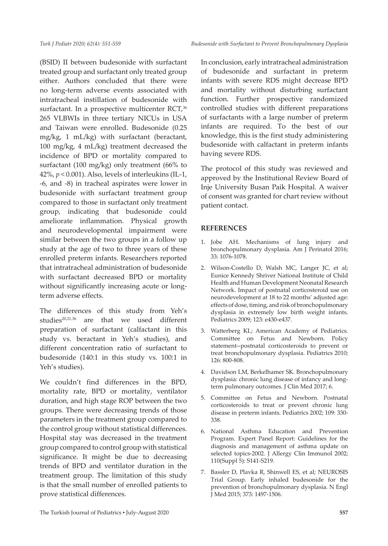(BSID) II between budesonide with surfactant treated group and surfactant only treated group either. Authors concluded that there were no long-term adverse events associated with intratracheal instillation of budesonide with surfactant. In a prospective multicenter RCT,<sup>36</sup> 265 VLBWIs in three tertiary NICUs in USA and Taiwan were enrolled. Budesonide (0.25 mg/kg, 1 mL/kg) with surfactant (beractant, 100 mg/kg, 4 mL/kg) treatment decreased the incidence of BPD or mortality compared to surfactant (100 mg/kg) only treatment (66% to 42%, *p* < 0.001). Also, levels of interleukins (IL-1, -6, and -8) in tracheal aspirates were lower in budesonide with surfactant treatment group compared to those in surfactant only treatment group, indicating that budesonide could ameliorate inflammation. Physical growth and neurodevelopmental impairment were similar between the two groups in a follow up study at the age of two to three years of these enrolled preterm infants. Researchers reported that intratracheal administration of budesonide with surfactant decreased BPD or mortality without significantly increasing acute or longterm adverse effects.

The differences of this study from Yeh's studies<sup>20,21,36</sup> are that we used different preparation of surfactant (calfactant in this study vs. beractant in Yeh's studies), and different concentration ratio of surfactant to budesonide (140:1 in this study vs. 100:1 in Yeh's studies).

We couldn't find differences in the BPD, mortality rate, BPD or mortality, ventilator duration, and high stage ROP between the two groups. There were decreasing trends of those parameters in the treatment group compared to the control group without statistical differences. Hospital stay was decreased in the treatment group compared to control group with statistical significance. It might be due to decreasing trends of BPD and ventilator duration in the treatment group. The limitation of this study is that the small number of enrolled patients to prove statistical differences.

In conclusion, early intratracheal administration of budesonide and surfactant in preterm infants with severe RDS might decrease BPD and mortality without disturbing surfactant function. Further prospective randomized controlled studies with different preparations of surfactants with a large number of preterm infants are required. To the best of our knowledge, this is the first study administering budesonide with calfactant in preterm infants having severe RDS.

The protocol of this study was reviewed and approved by the Institutional Review Board of Inje University Busan Paik Hospital. A waiver of consent was granted for chart review without patient contact.

### **REFERENCES**

- 1. Jobe AH. Mechanisms of lung injury and bronchopulmonary dysplasia. Am J Perinatol 2016; 33: 1076-1078.
- 2. Wilson-Costello D, Walsh MC, Langer JC, et al; Eunice Kennedy Shriver National Institute of Child Health and Human Development Neonatal Research Network. Impact of postnatal corticosteroid use on neurodevelopment at 18 to 22 months' adjusted age: effects of dose, timing, and risk of bronchopulmonary dysplasia in extremely low birth weight infants. Pediatrics 2009; 123: e430-e437.
- 3. Watterberg KL; American Academy of Pediatrics. Committee on Fetus and Newborn. Policy statement--postnatal corticosteroids to prevent or treat bronchopulmonary dysplasia. Pediatrics 2010; 126: 800-808.
- 4. Davidson LM, Berkelhamer SK. Bronchopulmonary dysplasia: chronic lung disease of infancy and longterm pulmonary outcomes. J Clin Med 2017; 6.
- 5. Committee on Fetus and Newborn. Postnatal corticosteroids to treat or prevent chronic lung disease in preterm infants. Pediatrics 2002; 109: 330- 338.
- 6. National Asthma Education and Prevention Program. Expert Panel Report: Guidelines for the diagnosis and management of asthma update on selected topics-2002. J Allergy Clin Immunol 2002; 110(Suppl 5): S141-S219.
- 7. Bassler D, Plavka R, Shinwell ES, et al; NEUROSIS Trial Group. Early inhaled budesonide for the prevention of bronchopulmonary dysplasia. N Engl J Med 2015; 373: 1497-1506.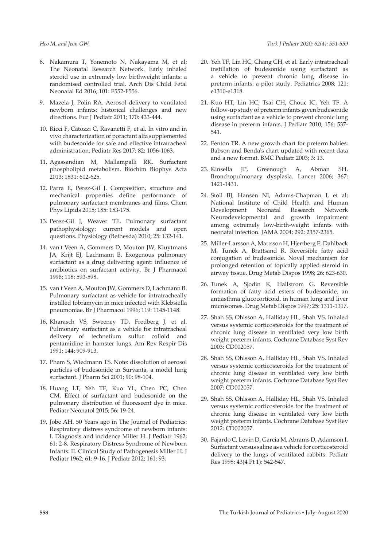- 8. Nakamura T, Yonemoto N, Nakayama M, et al; The Neonatal Research Network. Early inhaled steroid use in extremely low birthweight infants: a randomised controlled trial. Arch Dis Child Fetal Neonatal Ed 2016; 101: F552-F556.
- 9. Mazela J, Polin RA. Aerosol delivery to ventilated newborn infants: historical challenges and new directions. Eur J Pediatr 2011; 170: 433-444.
- 10. Ricci F, Catozzi C, Ravanetti F, et al. In vitro and in vivo characterization of poractant alfa supplemented with budesonide for safe and effective intratracheal administration. Pediatr Res 2017; 82: 1056-1063.
- 11. Agassandian M, Mallampalli RK. Surfactant phospholipid metabolism. Biochim Biophys Acta 2013; 1831: 612-625.
- 12. Parra E, Perez-Gil J. Composition, structure and mechanical properties define performance of pulmonary surfactant membranes and films. Chem Phys Lipids 2015; 185: 153-175.
- 13. Perez-Gil J, Weaver TE. Pulmonary surfactant pathophysiology: current models and open questions. Physiology (Bethesda) 2010; 25: 132-141.
- 14. van't Veen A, Gommers D, Mouton JW, Kluytmans JA, Krijt EJ, Lachmann B. Exogenous pulmonary surfactant as a drug delivering agent: influence of antibiotics on surfactant activity. Br J Pharmacol 1996; 118: 593-598.
- 15. van't Veen A, Mouton JW, Gommers D, Lachmann B. Pulmonary surfactant as vehicle for intratracheally instilled tobramycin in mice infected with Klebsiella pneumoniae. Br J Pharmacol 1996; 119: 1145-1148.
- 16. Kharasch VS, Sweeney TD, Fredberg J, et al. Pulmonary surfactant as a vehicle for intratracheal delivery of technetium sulfur colloid and pentamidine in hamster lungs. Am Rev Respir Dis 1991; 144: 909-913.
- 17. Pham S, Wiedmann TS. Note: dissolution of aerosol particles of budesonide in Survanta, a model lung surfactant. J Pharm Sci 2001; 90: 98-104.
- 18. Huang LT, Yeh TF, Kuo YL, Chen PC, Chen CM. Effect of surfactant and budesonide on the pulmonary distribution of fluorescent dye in mice. Pediatr Neonatol 2015; 56: 19-24.
- 19. Jobe AH. 50 Years ago in The Journal of Pediatrics: Respiratory distress syndrome of newborn infants: I. Diagnosis and incidence Miller H. J Pediatr 1962; 61: 2-8. Respiratory Distress Syndrome of Newborn Infants: II. Clinical Study of Pathogenesis Miller H. J Pediatr 1962; 61: 9-16. J Pediatr 2012; 161: 93.
- 20. Yeh TF, Lin HC, Chang CH, et al. Early intratracheal instillation of budesonide using surfactant as a vehicle to prevent chronic lung disease in preterm infants: a pilot study. Pediatrics 2008; 121: e1310-e1318.
- 21. Kuo HT, Lin HC, Tsai CH, Chouc IC, Yeh TF. A follow-up study of preterm infants given budesonide using surfactant as a vehicle to prevent chronic lung disease in preterm infants. J Pediatr 2010; 156: 537- 541.
- 22. Fenton TR. A new growth chart for preterm babies: Babson and Benda's chart updated with recent data and a new format. BMC Pediatr 2003; 3: 13.
- 23. Kinsella JP, Greenough A, Abman SH. Bronchopulmonary dysplasia. Lancet 2006; 367: 1421-1431.
- 24. Stoll BJ, Hansen NI, Adams-Chapman I, et al; National Institute of Child Health and Human Development Neonatal Research Network Neurodevelopmental and growth impairment among extremely low-birth-weight infants with neonatal infection. JAMA 2004; 292: 2357-2365.
- 25. Miller-Larsson A, Mattsson H, Hjertberg E, Dahlback M, Tunek A, Brattsand R. Reversible fatty acid conjugation of budesonide. Novel mechanism for prolonged retention of topically applied steroid in airway tissue. Drug Metab Dispos 1998; 26: 623-630.
- 26. Tunek A, Sjodin K, Hallstrom G. Reversible formation of fatty acid esters of budesonide, an antiasthma glucocorticoid, in human lung and liver microsomes. Drug Metab Dispos 1997; 25: 1311-1317.
- 27. Shah SS, Ohlsson A, Halliday HL, Shah VS. Inhaled versus systemic corticosteroids for the treatment of chronic lung disease in ventilated very low birth weight preterm infants. Cochrane Database Syst Rev 2003: CD002057.
- 28. Shah SS, Ohlsson A, Halliday HL, Shah VS. Inhaled versus systemic corticosteroids for the treatment of chronic lung disease in ventilated very low birth weight preterm infants. Cochrane Database Syst Rev 2007: CD002057.
- 29. Shah SS, Ohlsson A, Halliday HL, Shah VS. Inhaled versus systemic corticosteroids for the treatment of chronic lung disease in ventilated very low birth weight preterm infants. Cochrane Database Syst Rev 2012: CD002057.
- 30. Fajardo C, Levin D, Garcia M, Abrams D, Adamson I. Surfactant versus saline as a vehicle for corticosteroid delivery to the lungs of ventilated rabbits. Pediatr Res 1998; 43(4 Pt 1): 542-547.